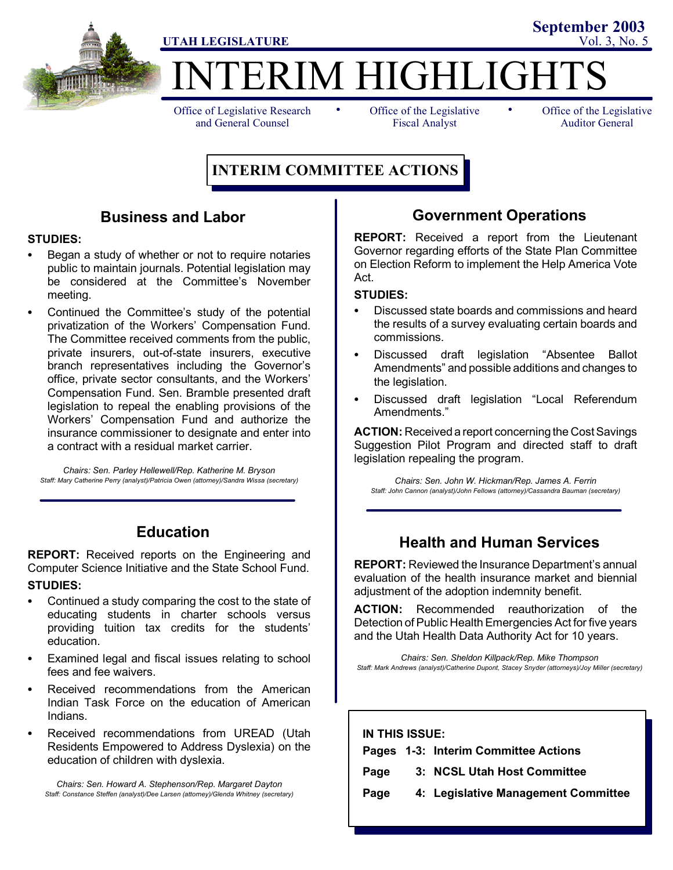

**IERIM HIGHLIGHT** 

Office of Legislative Research and General Counsel

• Office of the Legislative • Fiscal Analyst

Office of the Legislative Auditor General

**September 2003**

## **INTERIM COMMITTEE ACTIONS**

## **Business and Labor**

### **STUDIES:**

- Began a study of whether or not to require notaries public to maintain journals. Potential legislation may be considered at the Committee's November meeting.
- Continued the Committee's study of the potential privatization of the Workers' Compensation Fund. The Committee received comments from the public, private insurers, out-of-state insurers, executive branch representatives including the Governor's office, private sector consultants, and the Workers' Compensation Fund. Sen. Bramble presented draft legislation to repeal the enabling provisions of the Workers' Compensation Fund and authorize the insurance commissioner to designate and enter into a contract with a residual market carrier.

*Chairs: Sen. Parley Hellewell/Rep. Katherine M. Bryson Staff: Mary Catherine Perry (analyst)/Patricia Owen (attorney)/Sandra Wissa (secretary)*

## **Education**

**REPORT:** Received reports on the Engineering and Computer Science Initiative and the State School Fund.

### **STUDIES:**

- Continued a study comparing the cost to the state of educating students in charter schools versus providing tuition tax credits for the students' education.
- Examined legal and fiscal issues relating to school fees and fee waivers.
- Received recommendations from the American Indian Task Force on the education of American Indians.
- Received recommendations from UREAD (Utah Residents Empowered to Address Dyslexia) on the education of children with dyslexia.

*Chairs: Sen. Howard A. Stephenson/Rep. Margaret Dayton Staff: Constance Steffen (analyst)/Dee Larsen (attorney)/Glenda Whitney (secretary)*

## **Government Operations**

**REPORT:** Received a report from the Lieutenant Governor regarding efforts of the State Plan Committee on Election Reform to implement the Help America Vote Act.

#### **STUDIES:**

- Discussed state boards and commissions and heard the results of a survey evaluating certain boards and commissions.
- Discussed draft legislation "Absentee Ballot Amendments" and possible additions and changes to the legislation.
- Discussed draft legislation "Local Referendum Amendments."

**ACTION:** Received a report concerning the Cost Savings Suggestion Pilot Program and directed staff to draft legislation repealing the program.

*Chairs: Sen. John W. Hickman/Rep. James A. Ferrin Staff: John Cannon (analyst)/John Fellows (attorney)/Cassandra Bauman (secretary)*

## **Health and Human Services**

**REPORT:** Reviewed the Insurance Department's annual evaluation of the health insurance market and biennial adjustment of the adoption indemnity benefit.

**ACTION:** Recommended reauthorization of the Detection of Public Health Emergencies Act for five years and the Utah Health Data Authority Act for 10 years.

*Chairs: Sen. Sheldon Killpack/Rep. Mike Thompson Staff: Mark Andrews (analyst)/Catherine Dupont, Stacey Snyder (attorneys)/Joy Miller (secretary)*

| IN THIS ISSUE: |  |                                      |
|----------------|--|--------------------------------------|
|                |  | Pages 1-3: Interim Committee Actions |
| Page           |  | 3: NCSL Utah Host Committee          |
| Page           |  | 4: Legislative Management Committee  |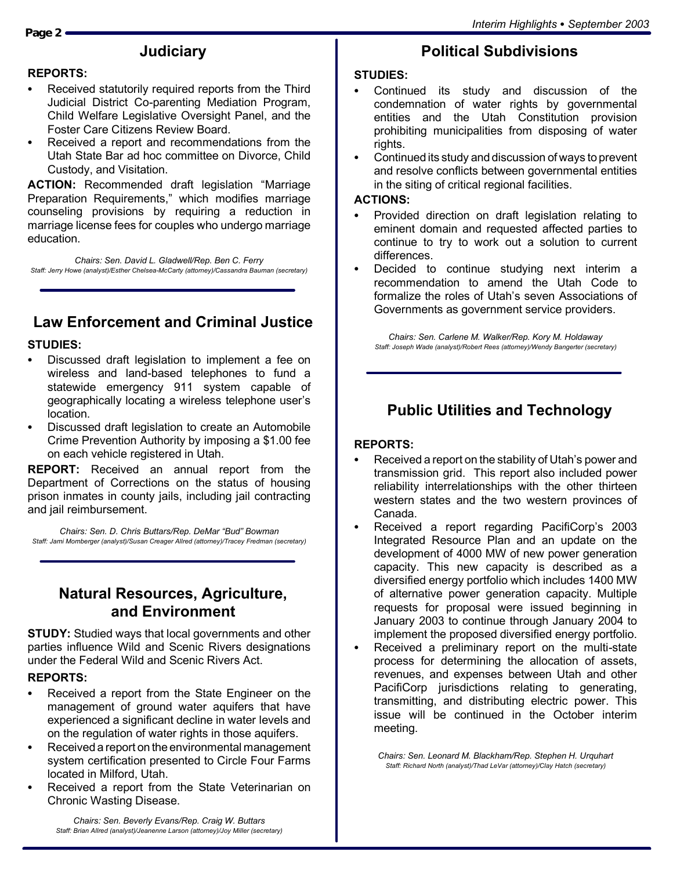# **Judiciary**

#### **REPORTS:**

- Received statutorily required reports from the Third Judicial District Co-parenting Mediation Program, Child Welfare Legislative Oversight Panel, and the Foster Care Citizens Review Board.
- Received a report and recommendations from the Utah State Bar ad hoc committee on Divorce, Child Custody, and Visitation.

**ACTION:** Recommended draft legislation "Marriage Preparation Requirements," which modifies marriage counseling provisions by requiring a reduction in marriage license fees for couples who undergo marriage education.

*Chairs: Sen. David L. Gladwell/Rep. Ben C. Ferry Staff: Jerry Howe (analyst)/Esther Chelsea-McCarty (attorney)/Cassandra Bauman (secretary)*

# **Law Enforcement and Criminal Justice**

### **STUDIES:**

- Discussed draft legislation to implement a fee on wireless and land-based telephones to fund a statewide emergency 911 system capable of geographically locating a wireless telephone user's location.
- Discussed draft legislation to create an Automobile Crime Prevention Authority by imposing a \$1.00 fee on each vehicle registered in Utah.

**REPORT:** Received an annual report from the Department of Corrections on the status of housing prison inmates in county jails, including jail contracting and jail reimbursement.

*Chairs: Sen. D. Chris Buttars/Rep. DeMar "Bud" Bowman Staff: Jami Momberger (analyst)/Susan Creager Allred (attorney)/Tracey Fredman (secretary)*

## **Natural Resources, Agriculture, and Environment**

**STUDY:** Studied ways that local governments and other parties influence Wild and Scenic Rivers designations under the Federal Wild and Scenic Rivers Act.

#### **REPORTS:**

- Received a report from the State Engineer on the management of ground water aquifers that have experienced a significant decline in water levels and on the regulation of water rights in those aquifers.
- Received a report on the environmental management system certification presented to Circle Four Farms located in Milford, Utah.
- Received a report from the State Veterinarian on Chronic Wasting Disease.

*Chairs: Sen. Beverly Evans/Rep. Craig W. Buttars Staff: Brian Allred (analyst)/Jeanenne Larson (attorney)/Joy Miller (secretary)*

## **Political Subdivisions**

#### **STUDIES:**

- Continued its study and discussion of the condemnation of water rights by governmental entities and the Utah Constitution provision prohibiting municipalities from disposing of water rights.
- Continued its study and discussion of ways to prevent and resolve conflicts between governmental entities in the siting of critical regional facilities.

#### **ACTIONS:**

- Provided direction on draft legislation relating to eminent domain and requested affected parties to continue to try to work out a solution to current differences.
- Decided to continue studying next interim a recommendation to amend the Utah Code to formalize the roles of Utah's seven Associations of Governments as government service providers.

*Chairs: Sen. Carlene M. Walker/Rep. Kory M. Holdaway Staff: Joseph Wade (analyst)/Robert Rees (attorney)/Wendy Bangerter (secretary)*

## **Public Utilities and Technology**

## **REPORTS:**

- $\bullet$  Received a report on the stability of Utah's power and transmission grid. This report also included power reliability interrelationships with the other thirteen western states and the two western provinces of Canada.
- Received a report regarding PacifiCorp's 2003 Integrated Resource Plan and an update on the development of 4000 MW of new power generation capacity. This new capacity is described as a diversified energy portfolio which includes 1400 MW of alternative power generation capacity. Multiple requests for proposal were issued beginning in January 2003 to continue through January 2004 to implement the proposed diversified energy portfolio.
- Received a preliminary report on the multi-state process for determining the allocation of assets, revenues, and expenses between Utah and other PacifiCorp jurisdictions relating to generating, transmitting, and distributing electric power. This issue will be continued in the October interim meeting.

*Chairs: Sen. Leonard M. Blackham/Rep. Stephen H. Urquhart Staff: Richard North (analyst)/Thad LeVar (attorney)/Clay Hatch (secretary)*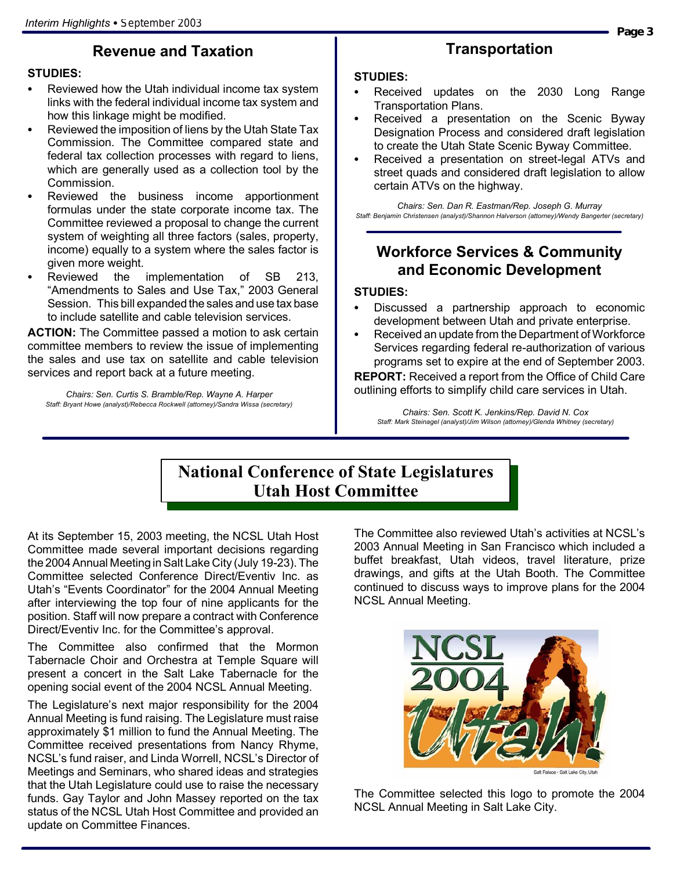# **Revenue and Taxation**

## **STUDIES:**

- Reviewed how the Utah individual income tax system links with the federal individual income tax system and how this linkage might be modified.
- Reviewed the imposition of liens by the Utah State Tax Commission. The Committee compared state and federal tax collection processes with regard to liens, which are generally used as a collection tool by the Commission.
- Reviewed the business income apportionment formulas under the state corporate income tax. The Committee reviewed a proposal to change the current system of weighting all three factors (sales, property, income) equally to a system where the sales factor is given more weight.
- Reviewed the implementation of SB 213, "Amendments to Sales and Use Tax," 2003 General Session. This bill expanded the sales and use tax base to include satellite and cable television services.

**ACTION:** The Committee passed a motion to ask certain committee members to review the issue of implementing the sales and use tax on satellite and cable television services and report back at a future meeting.

*Chairs: Sen. Curtis S. Bramble/Rep. Wayne A. Harper Staff: Bryant Howe (analyst)/Rebecca Rockwell (attorney)/Sandra Wissa (secretary)*

# **Transportation**

#### **STUDIES:**

- Received updates on the 2030 Long Range Transportation Plans.
- Received a presentation on the Scenic Byway Designation Process and considered draft legislation to create the Utah State Scenic Byway Committee.
- Received a presentation on street-legal ATVs and street quads and considered draft legislation to allow certain ATVs on the highway.

*Chairs: Sen. Dan R. Eastman/Rep. Joseph G. Murray Staff: Benjamin Christensen (analyst)/Shannon Halverson (attorney)/Wendy Bangerter (secretary)*

## **Workforce Services & Community and Economic Development**

## **STUDIES:**

- Discussed a partnership approach to economic development between Utah and private enterprise.
- Received an update from the Department of Workforce Services regarding federal re-authorization of various programs set to expire at the end of September 2003.

**REPORT:** Received a report from the Office of Child Care outlining efforts to simplify child care services in Utah.

*Chairs: Sen. Scott K. Jenkins/Rep. David N. Cox Staff: Mark Steinagel (analyst)/Jim Wilson (attorney)/Glenda Whitney (secretary)*

## **National Conference of State Legislatures Utah Host Committee**

At its September 15, 2003 meeting, the NCSL Utah Host Committee made several important decisions regarding the 2004 Annual Meeting in Salt Lake City (July 19-23). The Committee selected Conference Direct/Eventiv Inc. as Utah's "Events Coordinator" for the 2004 Annual Meeting after interviewing the top four of nine applicants for the position. Staff will now prepare a contract with Conference Direct/Eventiv Inc. for the Committee's approval.

The Committee also confirmed that the Mormon Tabernacle Choir and Orchestra at Temple Square will present a concert in the Salt Lake Tabernacle for the opening social event of the 2004 NCSL Annual Meeting.

The Legislature's next major responsibility for the 2004 Annual Meeting is fund raising. The Legislature must raise approximately \$1 million to fund the Annual Meeting. The Committee received presentations from Nancy Rhyme, NCSL's fund raiser, and Linda Worrell, NCSL's Director of Meetings and Seminars, who shared ideas and strategies that the Utah Legislature could use to raise the necessary funds. Gay Taylor and John Massey reported on the tax status of the NCSL Utah Host Committee and provided an update on Committee Finances.

The Committee also reviewed Utah's activities at NCSL's 2003 Annual Meeting in San Francisco which included a buffet breakfast, Utah videos, travel literature, prize drawings, and gifts at the Utah Booth. The Committee continued to discuss ways to improve plans for the 2004 NCSL Annual Meeting.



The Committee selected this logo to promote the 2004 NCSL Annual Meeting in Salt Lake City.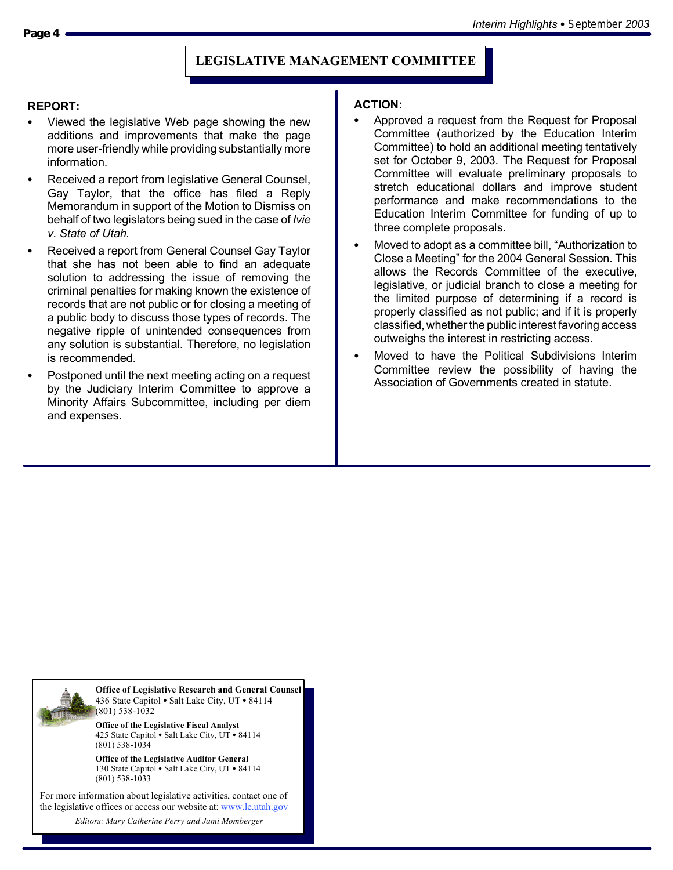#### **REPORT:**

- Viewed the legislative Web page showing the new additions and improvements that make the page more user-friendly while providing substantially more information.
- Received a report from legislative General Counsel, Gay Taylor, that the office has filed a Reply Memorandum in support of the Motion to Dismiss on behalf of two legislators being sued in the case of *Ivie v. State of Utah.*
- Received a report from General Counsel Gay Taylor that she has not been able to find an adequate solution to addressing the issue of removing the criminal penalties for making known the existence of records that are not public or for closing a meeting of a public body to discuss those types of records. The negative ripple of unintended consequences from any solution is substantial. Therefore, no legislation is recommended.
- Postponed until the next meeting acting on a request by the Judiciary Interim Committee to approve a Minority Affairs Subcommittee, including per diem and expenses.

#### **ACTION:**

- Approved a request from the Request for Proposal Committee (authorized by the Education Interim Committee) to hold an additional meeting tentatively set for October 9, 2003. The Request for Proposal Committee will evaluate preliminary proposals to stretch educational dollars and improve student performance and make recommendations to the Education Interim Committee for funding of up to three complete proposals.
- Moved to adopt as a committee bill, "Authorization to Close a Meeting" for the 2004 General Session. This allows the Records Committee of the executive, legislative, or judicial branch to close a meeting for the limited purpose of determining if a record is properly classified as not public; and if it is properly classified, whether the public interest favoring access outweighs the interest in restricting access.
- Moved to have the Political Subdivisions Interim Committee review the possibility of having the Association of Governments created in statute.



**Office of Legislative Research and General Counsel** 436 State Capitol . Salt Lake City, UT . 84114 (801) 538-1032

**Office of the Legislative Fiscal Analyst** 425 State Capitol • Salt Lake City, UT • 84114 (801) 538-1034

**Office of the Legislative Auditor General** 130 State Capitol · Salt Lake City, UT · 84114 (801) 538-1033

For more information about legislative activities, contact one of the legislative offices or access our website at: www.le.utah.gov

*Editors: Mary Catherine Perry and Jami Momberger*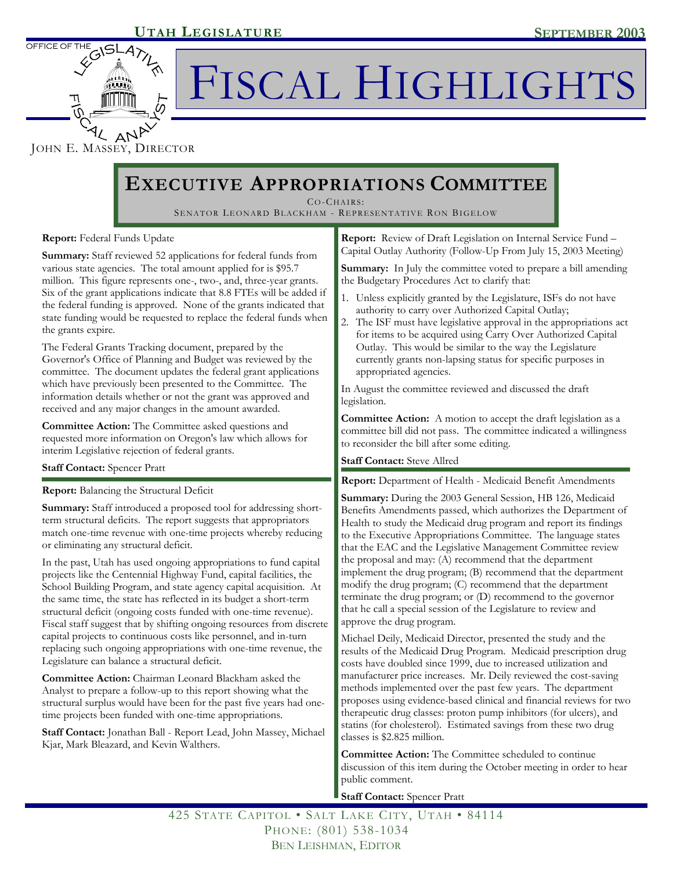

OFFICE OF TH.

# FISCAL HIGHLIGHTS

JOHN E. MASSEY, DIRECTOR

# **EXECUTIVE APPROPRIATIONS COMMITTEE**

CO-CHAIRS :

SENATOR LEONARD BLACKHAM - REPRESENTATIVE RON BIGELOW

### **Report:** Federal Funds Update

**Summary:** Staff reviewed 52 applications for federal funds from various state agencies. The total amount applied for is \$95.7 million. This figure represents one-, two-, and, three-year grants. Six of the grant applications indicate that 8.8 FTEs will be added if the federal funding is approved. None of the grants indicated that state funding would be requested to replace the federal funds when the grants expire.

The Federal Grants Tracking document, prepared by the Governor's Office of Planning and Budget was reviewed by the committee. The document updates the federal grant applications which have previously been presented to the Committee. The information details whether or not the grant was approved and received and any major changes in the amount awarded.

**Committee Action:** The Committee asked questions and requested more information on Oregon's law which allows for interim Legislative rejection of federal grants.

#### **Staff Contact:** Spencer Pratt

**Report:** Balancing the Structural Deficit

**Summary:** Staff introduced a proposed tool for addressing shortterm structural deficits. The report suggests that appropriators match one-time revenue with one-time projects whereby reducing or eliminating any structural deficit.

In the past, Utah has used ongoing appropriations to fund capital projects like the Centennial Highway Fund, capital facilities, the School Building Program, and state agency capital acquisition. At the same time, the state has reflected in its budget a short-term structural deficit (ongoing costs funded with one-time revenue). Fiscal staff suggest that by shifting ongoing resources from discrete capital projects to continuous costs like personnel, and in-turn replacing such ongoing appropriations with one-time revenue, the Legislature can balance a structural deficit.

**Committee Action:** Chairman Leonard Blackham asked the Analyst to prepare a follow-up to this report showing what the structural surplus would have been for the past five years had onetime projects been funded with one-time appropriations.

**Staff Contact:** Jonathan Ball - Report Lead, John Massey, Michael Kjar, Mark Bleazard, and Kevin Walthers.

**Report:** Review of Draft Legislation on Internal Service Fund – Capital Outlay Authority (Follow-Up From July 15, 2003 Meeting)

**Summary:** In July the committee voted to prepare a bill amending the Budgetary Procedures Act to clarify that:

- 1. Unless explicitly granted by the Legislature, ISFs do not have authority to carry over Authorized Capital Outlay;
- 2. The ISF must have legislative approval in the appropriations act for items to be acquired using Carry Over Authorized Capital Outlay. This would be similar to the way the Legislature currently grants non-lapsing status for specific purposes in appropriated agencies.

In August the committee reviewed and discussed the draft legislation.

**Committee Action:** A motion to accept the draft legislation as a committee bill did not pass. The committee indicated a willingness to reconsider the bill after some editing.

#### **Staff Contact:** Steve Allred

**Report:** Department of Health - Medicaid Benefit Amendments

**Summary:** During the 2003 General Session, HB 126, Medicaid Benefits Amendments passed, which authorizes the Department of Health to study the Medicaid drug program and report its findings to the Executive Appropriations Committee. The language states that the EAC and the Legislative Management Committee review the proposal and may: (A) recommend that the department implement the drug program; (B) recommend that the department modify the drug program; (C) recommend that the department terminate the drug program; or (D) recommend to the governor that he call a special session of the Legislature to review and approve the drug program.

Michael Deily, Medicaid Director, presented the study and the results of the Medicaid Drug Program. Medicaid prescription drug costs have doubled since 1999, due to increased utilization and manufacturer price increases. Mr. Deily reviewed the cost-saving methods implemented over the past few years. The department proposes using evidence-based clinical and financial reviews for two therapeutic drug classes: proton pump inhibitors (for ulcers), and statins (for cholesterol). Estimated savings from these two drug classes is \$2.825 million.

**Committee Action:** The Committee scheduled to continue discussion of this item during the October meeting in order to hear public comment.

**Staff Contact:** Spencer Pratt

425 STATE CAPITOL • SALT LAKE CITY, UTAH • 84114 PHONE: (801) 538-1034 BEN LEISHMAN, EDITOR